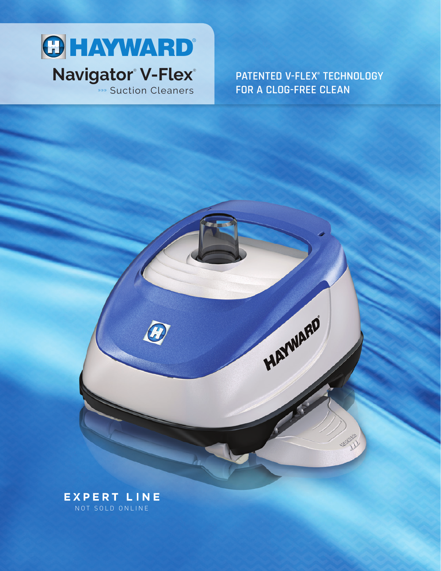

**PATENTED V-FLEX® TECHNOLOGY** FOR A CLOG-FREE CLEAN

HAYWARD

成就